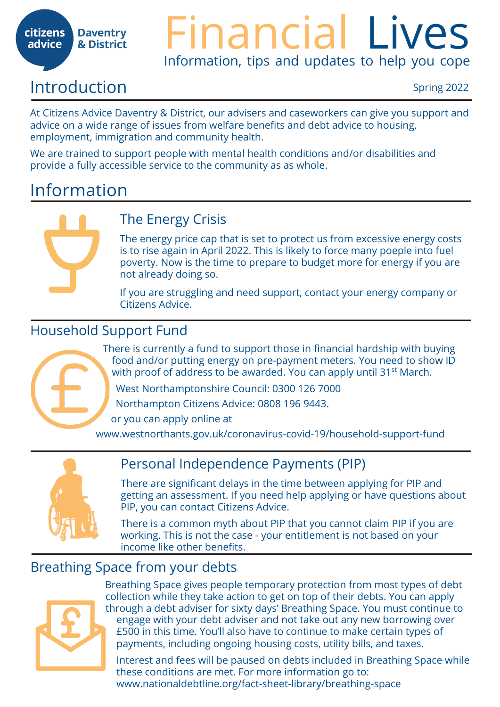#### **citizens Daventry** & District advice

# Financial Lives Information, tips and updates to help you cope

# Introduction Spring 2022

At Citizens Advice Daventry & District, our advisers and caseworkers can give you support and advice on a wide range of issues from welfare benefits and debt advice to housing, employment, immigration and community health.

We are trained to support people with mental health conditions and/or disabilities and provide a fully accessible service to the community as as whole.

# Information



# The Energy Crisis

The energy price cap that is set to protect us from excessive energy costs is to rise again in April 2022. This is likely to force many poeple into fuel poverty. Now is the time to prepare to budget more for energy if you are not already doing so.

If you are struggling and need support, contact your energy company or Citizens Advice.

### Household Support Fund

There is currently a fund to support those in financial hardship with buying food and/or putting energy on pre-payment meters. You need to show ID with proof of address to be awarded. You can apply until 31<sup>st</sup> March.

West Northamptonshire Council: 0300 126 7000

Northampton Citizens Advice: 0808 196 9443.

or you can apply online at

www.westnorthants.gov.uk/coronavirus-covid-19/household-support-fund



# Personal Independence Payments (PIP)

There are significant delays in the time between applying for PIP and getting an assessment. If you need help applying or have questions about PIP, you can contact Citizens Advice.

There is a common myth about PIP that you cannot claim PIP if you are working. This is not the case - your entitlement is not based on your income like other benefits.

# Breathing Space from your debts



Breathing Space gives people temporary protection from most types of debt collection while they take action to get on top of their debts. You can apply through a debt adviser for sixty days' Breathing Space. You must continue to engage with your debt adviser and not take out any new borrowing over £500 in this time. You'll also have to continue to make certain types of payments, including ongoing housing costs, utility bills, and taxes.

Interest and fees will be paused on debts included in Breathing Space while these conditions are met. For more information go to: www.nationaldebtline.org/fact-sheet-library/breathing-space